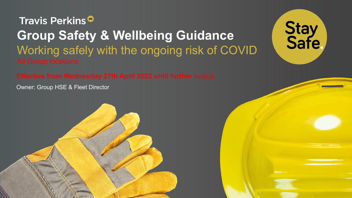Travis Perkins<sup>®</sup> **Group Safety & Wellbeing Guidance**  Working safely with the ongoing risk of COVID

Owner: Group HSE & Fleet Director



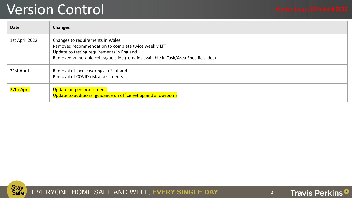### Version Control **Version Issue: 27th April 2022**

| <b>Date</b>    | <b>Changes</b>                                                                                                                                                                                                              |
|----------------|-----------------------------------------------------------------------------------------------------------------------------------------------------------------------------------------------------------------------------|
| 1st April 2022 | Changes to requirements in Wales<br>Removed recommendation to complete twice weekly LFT<br>Update to testing requirements in England<br>Removed vulnerable colleague slide (remains available in Task/Area Specific slides) |
| 21st April     | Removal of face coverings in Scotland<br>Removal of COVID risk assessments                                                                                                                                                  |
| 27th April     | Update on perspex screens<br>Update to additional guidance on office set up and showrooms                                                                                                                                   |



EVERYONE HOME SAFE AND WELL, **EVERY SINGLE DAY 2**

Travis Perkins<sup>®</sup>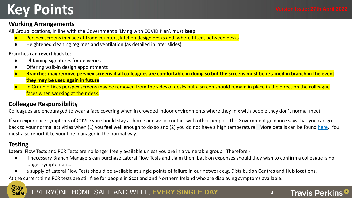## **Key Points**

Travis Perkins<sup>®</sup>

#### **Working Arrangements**

All Group locations, in line with the Government's 'Living with COVID Plan', must **keep**:

- <del>- Perspex screens in place at trade counters, kitchen design desks and, where fitted, between</del>
- Heightened cleaning regimes and ventilation (as detailed in later slides)

Branches **can revert back** to:

- Obtaining signatures for deliveries
- Offering walk-in design appointments
- **Branches may remove perspex screens if all colleagues are comfortable in doing so but the screens must be retained in branch in the event they may be used again in future**
- In Group offices perspex screens may be removed from the sides of desks but a screen should remain in place in the direction the colleague faces when working at their desk.

#### **Colleague Responsibility**

Colleagues are encouraged to wear a face covering when in crowded indoor environments where they mix with people they don't normal meet.

If you experience symptoms of COVID you should stay at home and avoid contact with other people. The Government guidance says that you can go back to your normal activities when (1) you feel well enough to do so and (2) you do not have a high temperature. More details can be found [here](https://www.nhs.uk/conditions/coronavirus-covid-19/self-isolation-and-treatment/when-to-self-isolate-and-what-to-do/). You must also report it to your line manager in the normal way.

#### **Testing**

Lateral Flow Tests and PCR Tests are no longer freely available unless you are in a vulnerable group. Therefore -

- if necessary Branch Managers can purchase Lateral Flow Tests and claim them back on expenses should they wish to confirm a colleague is no longer symptomatic.
- a supply of Lateral Flow Tests should be available at single points of failure in our network e.g. Distribution Centres and Hub locations.

At the current time PCR tests are still free for people in Scotland and Northern Ireland who are displaying symptoms available.

#### **Stay** EVERYONE HOME SAFE AND WELL, **EVERY SINGLE DAY 3** Safe.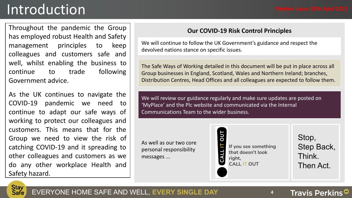## Introduction

Throughout the pandemic the Group has employed robust Health and Safety management principles to keep colleagues and customers safe and well, whilst enabling the business to continue to trade following Government advice.

As the UK continues to navigate the COVID-19 pandemic we need to continue to adapt our safe ways of working to protect our colleagues and customers. This means that for the Group we need to view the risk of catching COVID-19 and it spreading to other colleagues and customers as we do any other workplace Health and Safety hazard.

#### **Our COVID-19 Risk Control Principles**

We will continue to follow the UK Government's guidance and respect the devolved nations stance on specific issues.

The Safe Ways of Working detailed in this document will be put in place across all Group businesses in England, Scotland, Wales and Northern Ireland; branches, Distribution Centres, Head Offices and all colleagues are expected to follow them.

We will review our guidance regularly and make sure updates are posted on 'MyPlace' and the Plc website and communicated via the Internal Communications Team to the wider business.

As well as our two core personal responsibility messages ...



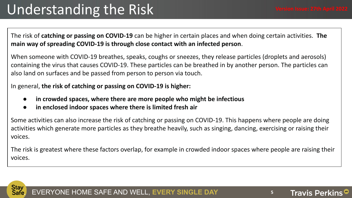The risk of **catching or passing on COVID-19** can be higher in certain places and when doing certain activities. **The main way of spreading COVID-19 is through close contact with an infected person**.

When someone with COVID-19 breathes, speaks, coughs or sneezes, they release particles (droplets and aerosols) containing the virus that causes COVID-19. These particles can be breathed in by another person. The particles can also land on surfaces and be passed from person to person via touch.

In general, **the risk of catching or passing on COVID-19 is higher:**

- **● in crowded spaces, where there are more people who might be infectious**
- **● in enclosed indoor spaces where there is limited fresh air**

Some activities can also increase the risk of catching or passing on COVID-19. This happens where people are doing activities which generate more particles as they breathe heavily, such as singing, dancing, exercising or raising their voices.

The risk is greatest where these factors overlap, for example in crowded indoor spaces where people are raising their voices.



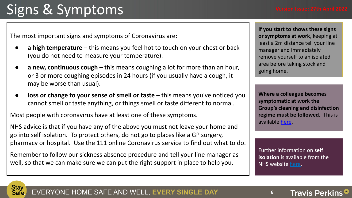# Signs & Symptoms

The most important signs and symptoms of Coronavirus are:

- **a high temperature** this means you feel hot to touch on your chest or back (you do not need to measure your temperature).
- **a new, continuous cough** this means coughing a lot for more than an hour, or 3 or more coughing episodes in 24 hours (if you usually have a cough, it may be worse than usual).
- **loss or change to your sense of smell or taste** this means you've noticed you cannot smell or taste anything, or things smell or taste different to normal.

Most people with coronavirus have at least one of these symptoms.

NHS advice is that if you have any of the above you must not leave your home and go into self isolation. To protect others, do not go to places like a GP surgery, pharmacy or hospital. Use the 111 online Coronavirus service to find out what to do.

Remember to follow our sickness absence procedure and tell your line manager as well, so that we can make sure we can put the right support in place to help you.

**If you start to shows these signs or symptoms at work**, keeping at least a 2m distance tell your line manager and immediately remove yourself to an isolated area before taking stock and going home.

**Where a colleague becomes symptomatic at work the Group's cleaning and disinfection regime must be followed.** This is available [here](https://docs.google.com/document/d/1aVuMYofh1eYelh3FCelhlLsKmqt8aJsM0O1JNWhBzV0/edit).

Further information on **self isolation** is available from the NHS website [here.](https://www.nhs.uk/conditions/coronavirus-covid-19/self-isolation-and-treatment/if-youre-told-to-self-isolate-by-nhs-test-and-trace-or-the-covid-19-app/)



**Travis Perkins**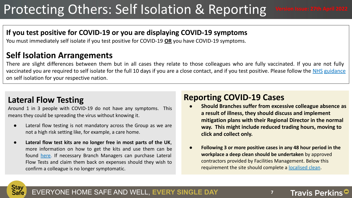## Protecting Others: Self Isolation & Reporting

#### **If you test positive for COVID-19 or you are displaying COVID-19 symptoms**

You must immediately self isolate if you test positive for COVID-19 **OR** you have COVID-19 symptoms.

### **Self Isolation Arrangements**

There are slight differences between them but in all cases they relate to those colleagues who are fully vaccinated. If you are not fully vaccinated you are required to self isolate for the full 10 days if you are a close contact, and if you test positive. Please follow the NHS [guidance](https://www.nhs.uk/conditions/coronavirus-covid-19/self-isolation-and-treatment/when-to-self-isolate-and-what-to-do/) on self isolation for your respective nation.

### **Lateral Flow Testing**

Around 1 in 3 people with COVID-19 do not have any symptoms. This means they could be spreading the virus without knowing it.

- Lateral flow testing is not mandatory across the Group as we are not a high risk setting like, for example, a care home.
- Lateral flow test kits are no longer free in most parts of the UK, more information on how to get the kits and use them can be found [here.](https://www.nhs.uk/conditions/coronavirus-covid-19/testing/regular-rapid-coronavirus-tests-if-you-do-not-have-symptoms/) If necessary Branch Managers can purchase Lateral Flow Tests and claim them back on expenses should they wish to confirm a colleague is no longer symptomatic.

### **Reporting COVID-19 Cases**

- **Should Branches suffer from excessive colleague absence as a result of illness, they should discuss and implement mitigation plans with their Regional Director in the normal way. This might include reduced trading hours, moving to click and collect only.**
- **Following 3 or more positive cases in any 48 hour period in the workplace a deep clean should be undertaken** by approved contractors provided by Facilities Management. Below this requirement the site should complete a [localised clean](https://docs.google.com/document/d/1aVuMYofh1eYelh3FCelhlLsKmqt8aJsM0O1JNWhBzV0/edit).

**Travis Perkins** 

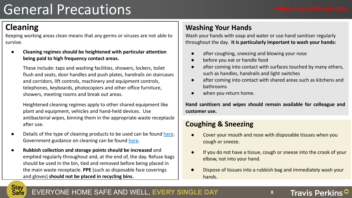## General Precautions

### **Cleaning**

Keeping working areas clean means that any germs or viruses are not able to survive.

**● Cleaning regimes should be heightened with particular attention being paid to high frequency contact areas.**

These include: taps and washing facilities, showers, lockers, toilet flush and seats, door handles and push plates, handrails on staircases and corridors, lift controls, machinery and equipment controls, telephones, keyboards, photocopiers and other office furniture, showers, meeting rooms and break out areas.

Heightened cleaning regimes apply to other shared equipment like plant and equipment, vehicles and hand-held devices. Use antibacterial wipes, binning them in the appropriate waste receptacle after use.

- Details of the type of cleaning products to be used can be found [here.](https://docs.google.com/document/d/1aVuMYofh1eYelh3FCelhlLsKmqt8aJsM0O1JNWhBzV0/edit?usp=sharing) Government guidance on cleaning can be found [here](https://www.gov.uk/government/publications/covid-19-decontamination-in-non-healthcare-settings/covid-19-decontamination-in-non-healthcare-settings).
- **Rubbish collection and storage points should be increased** and emptied regularly throughout and, at the end of, the day. Refuse bags should be used in the bin, tied and removed before being placed in the main waste receptacle. **PPE** (such as disposable face coverings and gloves) **should not be placed in recycling bins.**

### **Washing Your Hands**

Wash your hands with soap and water or use hand sanitiser regularly throughout the day. **It is particularly important to wash your hands:**

- after coughing, sneezing and blowing your nose
- before you eat or handle food
- after coming into contact with surfaces touched by many others, such as handles, handrails and light switches
- after coming into contact with shared areas such as kitchens and bathrooms
- when you return home.

**Hand sanitisers and wipes should remain available for colleague and customer use.**

#### **Coughing & Sneezing**

- Cover your mouth and nose with disposable tissues when you cough or sneeze.
- If you do not have a tissue, cough or sneeze into the crook of your elbow, not into your hand.
- Dispose of tissues into a rubbish bag and immediately wash your hands.



#### EVERYONE HOME SAFE AND WELL, **EVERY SINGLE DAY 8**

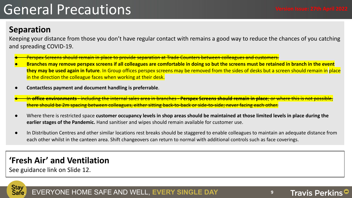## General Precautions

### **Separation**

Keeping your distance from those you don't have regular contact with remains a good way to reduce the chances of you catching and spreading COVID-19.

- <mark>d remain in place to provide separation at Trade Counters between</mark>
- Branches may remove perspex screens if all colleagues are comfortable in doing so but the screens must be retained in branch in the event **they may be used again in future**. In Group offices perspex screens may be removed from the sides of desks but a screen should remain in place in the direction the colleague faces when working at their desk.
- **Contactless payment and document handling is preferrable**.
- <del>n **office environments** including the internal sales area in branches **Perspex Screens should remain in place**; or where thi<del>s i</del>s</del> spacing between colleagues, either sitting back-to-back or side-to-side; ne
- Where there is restricted space customer occupancy levels in shop areas should be maintained at those limited levels in place during the **earlier stages of the Pandemic.** Hand sanitiser and wipes should remain available for customer use.
- In Distribution Centres and other similar locations rest breaks should be staggered to enable colleagues to maintain an adequate distance from each other whilst in the canteen area. Shift changeovers can return to normal with additional controls such as face coverings.

### **'Fresh Air' and Ventilation**

See guidance link on Slide 12.

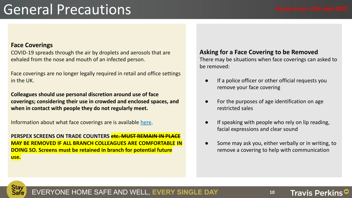## General Precautions

#### **Face Coverings**

COVID-19 spreads through the air by droplets and aerosols that are exhaled from the nose and mouth of an infected person.

Face coverings are no longer legally required in retail and office settings in the UK.

**Colleagues should use personal discretion around use of face coverings; considering their use in crowded and enclosed spaces, and when in contact with people they do not regularly meet.**

Information about what face coverings are is available [here.](https://docs.google.com/presentation/d/15pwhHniAsJxLAwX9FF0JQX1-UutE7Ht7hWCQ5QXNOW0/edit?usp=sharing)

**PERSPEX SCREENS ON TRADE COUNTERS etc. MUST REMAIN IN PL MAY BE REMOVED IF ALL BRANCH COLLEAGUES ARE COMFORTABLE IN DOING SO. Screens must be retained in branch for potential future use.**

#### **Asking for a Face Covering to be Removed**

There may be situations when face coverings can asked to be removed:

- If a police officer or other official requests you remove your face covering
- For the purposes of age identification on age restricted sales
- If speaking with people who rely on lip reading, facial expressions and clear sound
- Some may ask you, either verbally or in writing, to remove a covering to help with communication

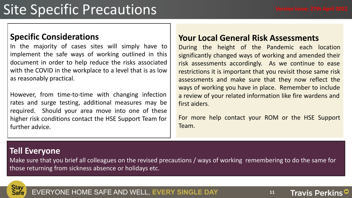Travis Perkins<sup>®</sup>

## Site Specific Precautions

### **Specific Considerations**

In the majority of cases sites will simply have to implement the safe ways of working outlined in this document in order to help reduce the risks associated with the COVID in the workplace to a level that is as low as reasonably practical.

However, from time-to-time with changing infection rates and surge testing, additional measures may be required. Should your area move into one of these higher risk conditions contact the HSE Support Team for further advice.

#### **Your Local General Risk Assessments**

During the height of the Pandemic each location significantly changed ways of working and amended their risk assessments accordingly. As we continue to ease restrictions it is important that you revisit those same risk assessments and make sure that they now reflect the ways of working you have in place. Remember to include a review of your related information like fire wardens and first aiders.

For more help contact your ROM or the HSE Support Team.

### **Tell Everyone**

Make sure that you brief all colleagues on the revised precautions / ways of working remembering to do the same for those returning from sickness absence or holidays etc.